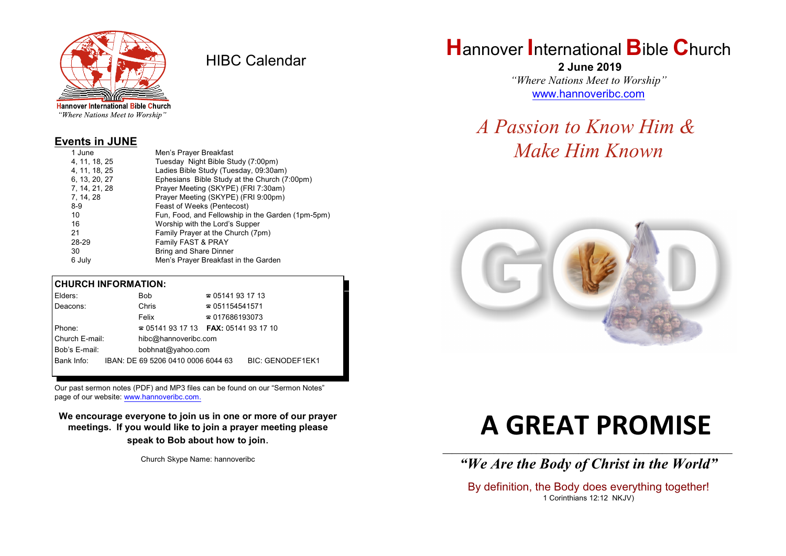

HIBC Calendar

"Where Nations Meet to Worship"

#### **Events in JUNE**

| 1 June        | Men's Prayer Breakfast                            |
|---------------|---------------------------------------------------|
| 4, 11, 18, 25 | Tuesday Night Bible Study (7:00pm)                |
| 4, 11, 18, 25 | Ladies Bible Study (Tuesday, 09:30am)             |
| 6, 13, 20, 27 | Ephesians Bible Study at the Church (7:00pm)      |
| 7, 14, 21, 28 | Prayer Meeting (SKYPE) (FRI 7:30am)               |
| 7, 14, 28     | Prayer Meeting (SKYPE) (FRI 9:00pm)               |
| $8-9$         | Feast of Weeks (Pentecost)                        |
| 10            | Fun, Food, and Fellowship in the Garden (1pm-5pm) |
| 16            | Worship with the Lord's Supper                    |
| 21            | Family Prayer at the Church (7pm)                 |
| 28-29         | Family FAST & PRAY                                |
| 30            | Bring and Share Dinner                            |
| 6 July        | Men's Prayer Breakfast in the Garden              |
|               |                                                   |

#### **CHURCH INFORMATION:**

| Elders:        | Bob                                                 | $\approx 05141931713$  |                         |
|----------------|-----------------------------------------------------|------------------------|-------------------------|
| Deacons:       | Chris                                               | $\approx 051154541571$ |                         |
|                | Felix                                               | $\approx 017686193073$ |                         |
| Phone:         | <b>2</b> 05141 93 17 13 <b>FAX</b> : 05141 93 17 10 |                        |                         |
| Church E-mail: | hibc@hannoveribc.com                                |                        |                         |
| Bob's E-mail:  | bobhnat@yahoo.com                                   |                        |                         |
| Bank Info:     | IBAN: DE 69 5206 0410 0006 6044 63                  |                        | <b>BIC: GENODEF1EK1</b> |
|                |                                                     |                        |                         |

Our past sermon notes (PDF) and MP3 files can be found on our "Sermon Notes" page of our website: [www.hannoveribc.com.](http://www.hannoveribc.com.)

**We encourage everyone to join us in one or more of our prayer meetings. If you would like to join a prayer meeting please speak to Bob about how to join**.

Church Skype Name: hannoveribc

### **H**annover **I**nternational **B**ible **C**hurch

 **2 June 2019** *"Where Nations Meet to Worship"* [www.hannoveribc.com](http://www.hannoveribc.com)

## *A Passion to Know Him & Make Him Known*



# **A GREAT PROMISE**

\_\_\_\_\_\_\_\_\_\_\_\_\_\_\_\_\_\_\_\_\_\_\_\_\_\_\_\_\_\_\_\_\_\_\_\_\_\_\_\_\_\_\_\_\_\_\_\_\_\_\_\_\_\_\_\_\_\_\_\_\_\_ *"We Are the Body of Christ in the World"*

By definition, the Body does everything together! 1 Corinthians 12:12 NKJV)